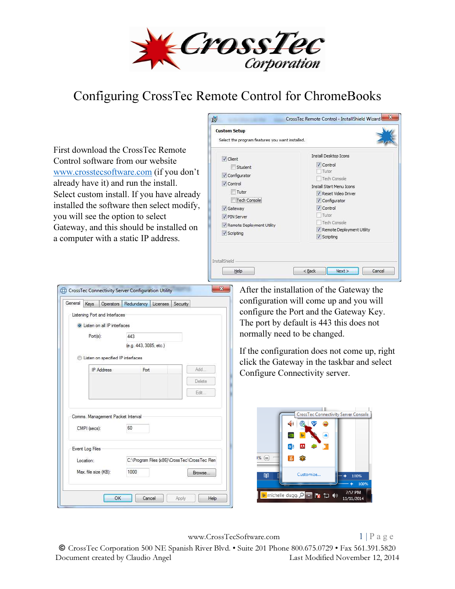

## Configuring CrossTec Remote Control for ChromeBooks

First download the CrossTec Remote Control software from our website www.crosstecsoftware.com (if you don't already have it) and run the install. Select custom install. If you have already installed the software then select modify, you will see the option to select Gateway, and this should be installed on a computer with a static IP address.



| General | <b>Kevs</b>                  | <b>Operators</b>                     | Redundancy |                        | Licenses Security                            |        | configuration will come up and you will      |
|---------|------------------------------|--------------------------------------|------------|------------------------|----------------------------------------------|--------|----------------------------------------------|
|         |                              | Listening Port and Interfaces        |            |                        |                                              |        | configure the Port and the Gateway Key.      |
|         |                              | <b>O</b> Listen on all IP interfaces |            |                        |                                              |        | The port by default is 443 this does not     |
|         | Port(s):                     |                                      | 443        |                        |                                              |        | normally need to be changed.                 |
|         |                              | Listen on specified IP interfaces    |            | (e.g. 443, 3085, etc.) |                                              |        | If the configuration does not come up, right |
|         |                              | <b>IP</b> Address                    |            | Port                   |                                              | Add.   | click the Gateway in the taskbar and select  |
|         |                              |                                      |            |                        |                                              | Delete | Configure Connectivity server.               |
|         |                              |                                      |            |                        |                                              |        |                                              |
|         | CMPI (secs):                 | Comms. Management Packet Interval    | 60         |                        |                                              | Edit   | CrossTec Connectivity Server Console         |
|         | Event Log Files<br>Location: |                                      |            |                        | C:\Program Files (x86)\CrossTec\CrossTec Ren | 1% ⊜   |                                              |

www.CrossTecSoftware.com 1 | P a g e

© CrossTec Corporation 500 NE Spanish River Blvd. • Suite 201 Phone 800.675.0729 • Fax 561.391.5820 Document created by Claudio Angel Last Modified November 12, 2014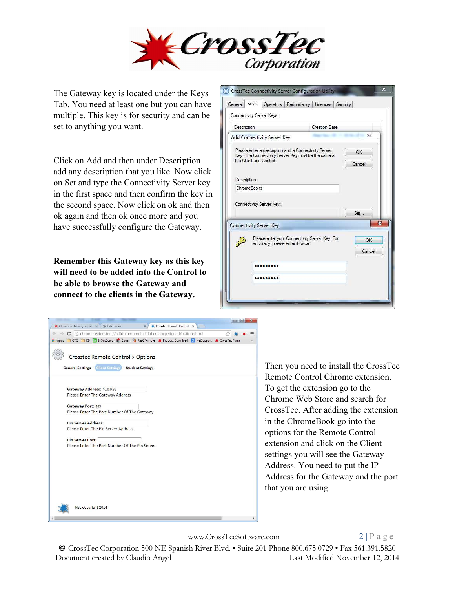

The Gateway key is located under the Keys Tab. You need at least one but you can have multiple. This key is for security and can be set to anything you want.

Click on Add and then under Description add any description that you like. Now click on Set and type the Connectivity Server key in the first space and then confirm the key in the second space. Now click on ok and then ok again and then ok once more and you have successfully configure the Gateway.

Remember this Gateway key as this key will need to be added into the Control to be able to browse the Gateway and connect to the clients in the Gateway.

| General      | Keys | Connectivity Server Keys:      |                                  | Operators Redundancy Licenses                                                                                | Security                |
|--------------|------|--------------------------------|----------------------------------|--------------------------------------------------------------------------------------------------------------|-------------------------|
| Description  |      |                                |                                  | <b>Creation Date</b>                                                                                         |                         |
|              |      | Add Connectivity Server Key    |                                  |                                                                                                              | $\Sigma$                |
| Description: |      | the Client and Control         |                                  | Please enter a description and a Connectivity Server<br>Key. The Connectivity Server Key must be the same at | OK<br>Cancel            |
| ChromeBooks  |      |                                |                                  |                                                                                                              |                         |
|              |      | Connectivity Server Key:       |                                  |                                                                                                              | Set.                    |
|              |      | <b>Connectivity Server Key</b> |                                  |                                                                                                              | $\overline{\mathbf{x}}$ |
|              |      |                                | accuracy, please enter it twice. | Please enter your Connectivity Server Key. For                                                               | OK<br>Cancel            |
|              |      |                                |                                  |                                                                                                              |                         |
|              |      | <b></b>                        |                                  |                                                                                                              |                         |
|              |      |                                |                                  |                                                                                                              |                         |

| $\leftarrow \rightarrow \mathbf{C}$ $\Box$ chrome-extension://hilfdhlnmhmdhcfilfabcmabcpedgedd/options.html<br>Apps C CTC KB ThOutBoard Sugar & ResQRemote * Product Download & NetSupport * CrossTec Form | =<br>$\mathbf{v}$ |
|------------------------------------------------------------------------------------------------------------------------------------------------------------------------------------------------------------|-------------------|
|                                                                                                                                                                                                            |                   |
| Crosstec Remote Control > Options                                                                                                                                                                          |                   |
| <b>General Settings - Glient Settings - Student Settings</b>                                                                                                                                               |                   |
|                                                                                                                                                                                                            |                   |
|                                                                                                                                                                                                            |                   |
| Gateway Address: 10.0.0.82<br>Please Enter The Gateway Address                                                                                                                                             |                   |
|                                                                                                                                                                                                            |                   |
| Gateway Port: 443                                                                                                                                                                                          |                   |
| Please Enter The Port Number Of The Gateway                                                                                                                                                                |                   |
|                                                                                                                                                                                                            |                   |
| <b>Pin Server Address:</b>                                                                                                                                                                                 |                   |
| Please Enter The Pin Server Address                                                                                                                                                                        |                   |
|                                                                                                                                                                                                            |                   |
| <b>Pin Server Port:</b><br>Please Enter The Port Number Of The Pin Server                                                                                                                                  |                   |
|                                                                                                                                                                                                            |                   |
|                                                                                                                                                                                                            |                   |
|                                                                                                                                                                                                            |                   |
|                                                                                                                                                                                                            |                   |
|                                                                                                                                                                                                            |                   |
|                                                                                                                                                                                                            |                   |
|                                                                                                                                                                                                            |                   |
|                                                                                                                                                                                                            |                   |
|                                                                                                                                                                                                            |                   |
| NSL Copyright 2014                                                                                                                                                                                         |                   |
|                                                                                                                                                                                                            |                   |

Then you need to install the CrossTec Remote Control Chrome extension. To get the extension go to the Chrome Web Store and search for CrossTec. After adding the extension in the ChromeBook go into the options for the Remote Control extension and click on the Client settings you will see the Gateway Address. You need to put the IP Address for the Gateway and the port that you are using.

www.CrossTecSoftware.com 2 | P a g e

 $\Box$   $\Box$   $\Box$ 

© CrossTec Corporation 500 NE Spanish River Blvd. • Suite 201 Phone 800.675.0729 • Fax 561.391.5820 Document created by Claudio Angel Last Modified November 12, 2014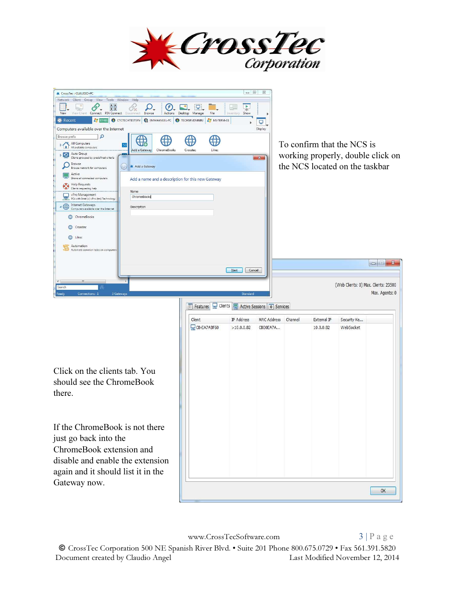